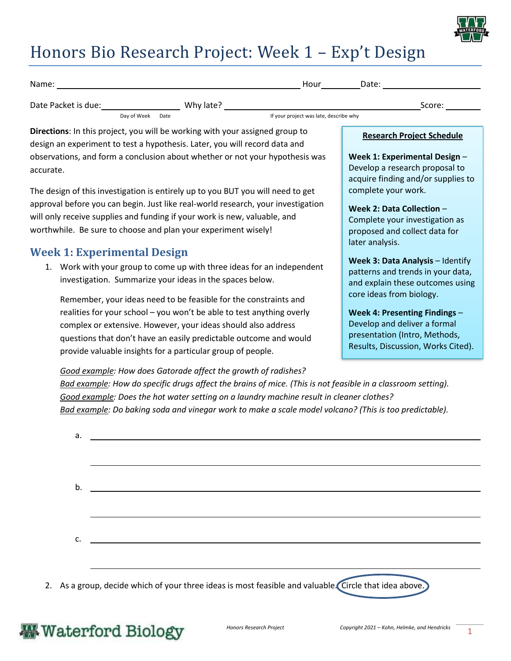

# Honors Bio Research Project: Week 1 – Exp't Design

| Name:               |             |      |           | Hour<br>Date:                          |        |
|---------------------|-------------|------|-----------|----------------------------------------|--------|
| Date Packet is due: |             |      | Why late? |                                        | Score: |
|                     | Day of Week | Date |           | If your project was late, describe why |        |

**Directions**: In this project, you will be working with your assigned group to design an experiment to test a hypothesis. Later, you will record data and observations, and form a conclusion about whether or not your hypothesis was accurate.

The design of this investigation is entirely up to you BUT you will need to get approval before you can begin. Just like real-world research, your investigation will only receive supplies and funding if your work is new, valuable, and worthwhile. Be sure to choose and plan your experiment wisely!

### **Week 1: Experimental Design**

1. Work with your group to come up with three ideas for an independent investigation. Summarize your ideas in the spaces below.

Remember, your ideas need to be feasible for the constraints and realities for your school – you won't be able to test anything overly complex or extensive. However, your ideas should also address questions that don't have an easily predictable outcome and would provide valuable insights for a particular group of people.

*Good example: How does Gatorade affect the growth of radishes?* 

*Bad example: How do specific drugs affect the brains of mice. (This is not feasible in a classroom setting). Good example: Does the hot water setting on a laundry machine result in cleaner clothes? Bad example: Do baking soda and vinegar work to make a scale model volcano? (This is too predictable).* 

| $\mathsf{C}$ .                                                                                         |  |  |
|--------------------------------------------------------------------------------------------------------|--|--|
|                                                                                                        |  |  |
| 2. As a group, decide which of your three ideas is most feasible and valuable. Circle that idea above. |  |  |

#### **Research Project Schedule**

**Week 1: Experimental Design** – Develop a research proposal to acquire finding and/or supplies to complete your work.

**Week 2: Data Collection** – Complete your investigation as proposed and collect data for later analysis.

**Week 3: Data Analysis** – Identify patterns and trends in your data, and explain these outcomes using core ideas from biology.

**Week 4: Presenting Findings** – Develop and deliver a formal presentation (Intro, Methods, Results, Discussion, Works Cited).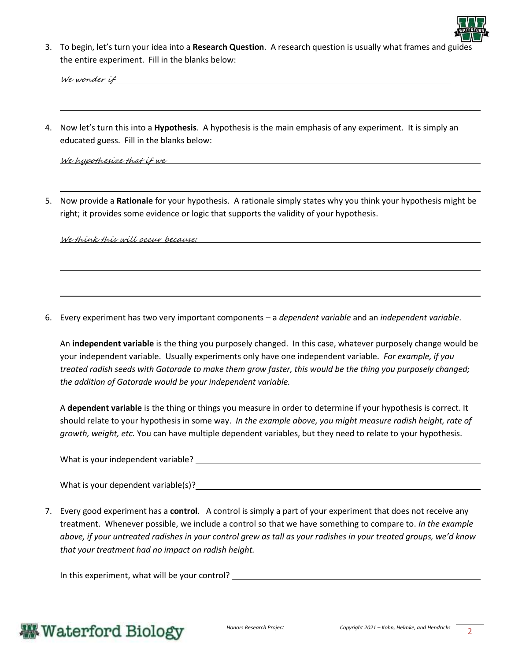

3. To begin, let's turn your idea into a **Research Question**. A research question is usually what frames and guides the entire experiment. Fill in the blanks below:

We wonder if

4. Now let's turn this into a **Hypothesis**. A hypothesis is the main emphasis of any experiment. It is simply an educated guess. Fill in the blanks below:

We hypothesize that if we

5. Now provide a **Rationale** for your hypothesis. A rationale simply states why you think your hypothesis might be right; it provides some evidence or logic that supports the validity of your hypothesis.

We think this will occur because:

6. Every experiment has two very important components – a *dependent variable* and an *independent variable*.

An **independent variable** is the thing you purposely changed. In this case, whatever purposely change would be your independent variable. Usually experiments only have one independent variable. *For example, if you treated radish seeds with Gatorade to make them grow faster, this would be the thing you purposely changed; the addition of Gatorade would be your independent variable.* 

A **dependent variable** is the thing or things you measure in order to determine if your hypothesis is correct. It should relate to your hypothesis in some way. *In the example above, you might measure radish height, rate of growth, weight, etc.* You can have multiple dependent variables, but they need to relate to your hypothesis.

What is your independent variable?

|  |  |  | What is your dependent variable(s)? |
|--|--|--|-------------------------------------|
|--|--|--|-------------------------------------|

7. Every good experiment has a **control**. A control is simply a part of your experiment that does not receive any treatment. Whenever possible, we include a control so that we have something to compare to. *In the example above, if your untreated radishes in your control grew as tall as your radishes in your treated groups, we'd know that your treatment had no impact on radish height.*

In this experiment, what will be your control?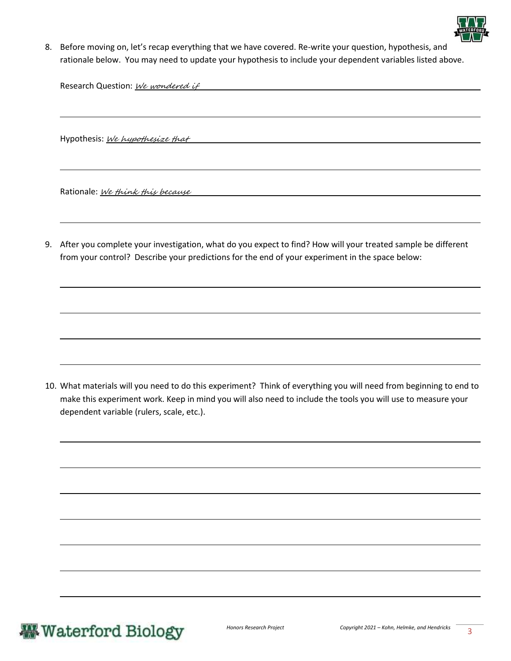

8. Before moving on, let's recap everything that we have covered. Re-write your question, hypothesis, and rationale below. You may need to update your hypothesis to include your dependent variables listed above.

Research Question: We wondered if

Hypothesis: We hypothesize that

Rationale: We think this because

9. After you complete your investigation, what do you expect to find? How will your treated sample be different from your control? Describe your predictions for the end of your experiment in the space below:

10. What materials will you need to do this experiment? Think of everything you will need from beginning to end to make this experiment work. Keep in mind you will also need to include the tools you will use to measure your dependent variable (rulers, scale, etc.).

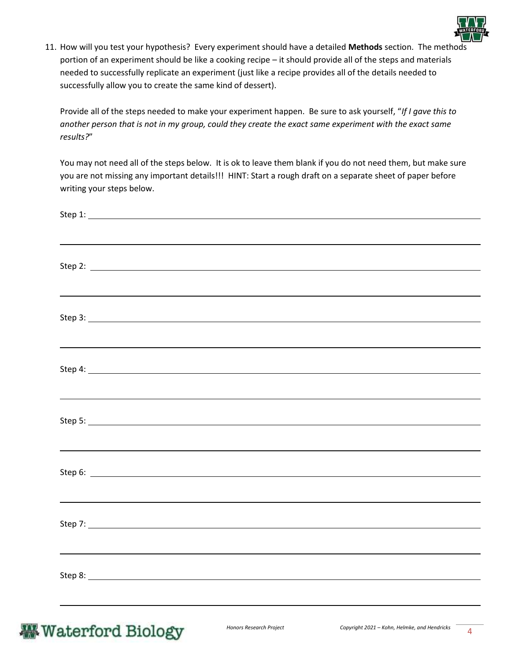

11. How will you test your hypothesis? Every experiment should have a detailed **Methods** section. The methods portion of an experiment should be like a cooking recipe – it should provide all of the steps and materials needed to successfully replicate an experiment (just like a recipe provides all of the details needed to successfully allow you to create the same kind of dessert).

Provide all of the steps needed to make your experiment happen. Be sure to ask yourself, "*If I gave this to another person that is not in my group, could they create the exact same experiment with the exact same results?*"

You may not need all of the steps below. It is ok to leave them blank if you do not need them, but make sure you are not missing any important details!!! HINT: Start a rough draft on a separate sheet of paper before writing your steps below.

|                                                                                                                                                                                                                                |  | ,我们也不会有什么?""我们的人,我们也不会有什么?""我们的人,我们也不会有什么?""我们的人,我们也不会有什么?""我们的人,我们也不会有什么?""我们的人 |
|--------------------------------------------------------------------------------------------------------------------------------------------------------------------------------------------------------------------------------|--|----------------------------------------------------------------------------------|
|                                                                                                                                                                                                                                |  |                                                                                  |
|                                                                                                                                                                                                                                |  |                                                                                  |
|                                                                                                                                                                                                                                |  |                                                                                  |
|                                                                                                                                                                                                                                |  |                                                                                  |
| Step 5: North Commission and Commission and Commission and Commission and Commission and Commission and Commission and Commission and Commission and Commission and Commission and Commission and Commission and Commission an |  |                                                                                  |
|                                                                                                                                                                                                                                |  | ,我们也不会有什么。""我们的人,我们也不会有什么?""我们的人,我们也不会有什么?""我们的人,我们也不会有什么?""我们的人,我们也不会有什么?""我们的人 |
|                                                                                                                                                                                                                                |  |                                                                                  |
|                                                                                                                                                                                                                                |  | ,我们也不会有什么。""我们的人,我们也不会有什么?""我们的人,我们也不会有什么?""我们的人,我们也不会有什么?""我们的人,我们也不会有什么?""我们的人 |
|                                                                                                                                                                                                                                |  |                                                                                  |
|                                                                                                                                                                                                                                |  |                                                                                  |
|                                                                                                                                                                                                                                |  |                                                                                  |
|                                                                                                                                                                                                                                |  |                                                                                  |

## **Waterford Biology**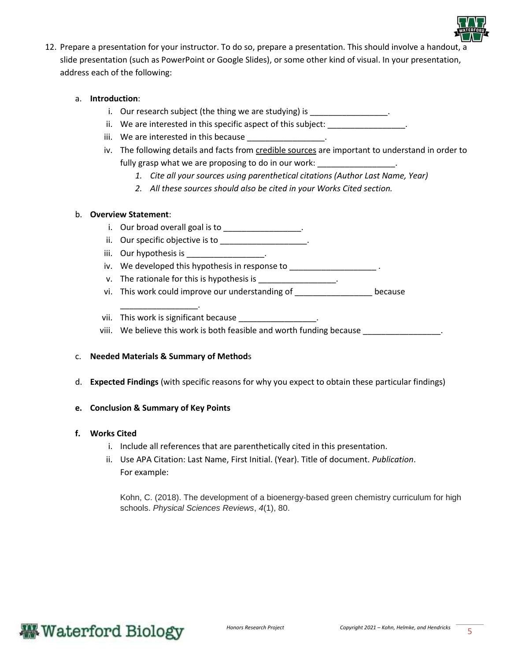

12. Prepare a presentation for your instructor. To do so, prepare a presentation. This should involve a handout, a slide presentation (such as PowerPoint or Google Slides), or some other kind of visual. In your presentation, address each of the following:

#### a. **Introduction**:

- i. Our research subject (the thing we are studying) is \_\_\_\_\_\_\_\_\_\_\_\_\_\_\_\_\_.
- ii. We are interested in this specific aspect of this subject:
- iii. We are interested in this because
- iv. The following details and facts from credible sources are important to understand in order to fully grasp what we are proposing to do in our work: \_\_\_\_\_\_\_\_\_\_\_\_\_\_\_\_\_\_\_.
	- *1. Cite all your sources using parenthetical citations (Author Last Name, Year)*
	- *2. All these sources should also be cited in your Works Cited section.*

#### b. **Overview Statement**:

- i. Our broad overall goal is to \_\_\_\_\_\_\_\_\_\_\_\_\_\_\_\_\_\_.
- ii. Our specific objective is to \_\_\_\_\_\_\_\_\_\_\_\_\_\_\_\_\_\_\_.
- iii. Our hypothesis is
- iv. We developed this hypothesis in response to \_\_\_\_\_\_\_\_\_\_\_\_\_\_\_\_\_\_\_\_\_.
- v. The rationale for this is hypothesis is  $\sim$
- vi. This work could improve our understanding of \_\_\_\_\_\_\_\_\_\_\_\_\_\_\_\_\_ because

vii. This work is significant because

viii. We believe this work is both feasible and worth funding because \_\_\_\_\_\_\_\_\_\_\_\_\_\_\_\_\_.

#### c. **Needed Materials & Summary of Method**s

\_\_\_\_\_\_\_\_\_\_\_\_\_\_\_\_\_.

d. **Expected Findings** (with specific reasons for why you expect to obtain these particular findings)

#### **e. Conclusion & Summary of Key Points**

#### **f. Works Cited**

- i. Include all references that are parenthetically cited in this presentation.
- ii. Use APA Citation: Last Name, First Initial. (Year). Title of document. *Publication*. For example:

Kohn, C. (2018). The development of a bioenergy-based green chemistry curriculum for high schools. *Physical Sciences Reviews*, *4*(1), 80.